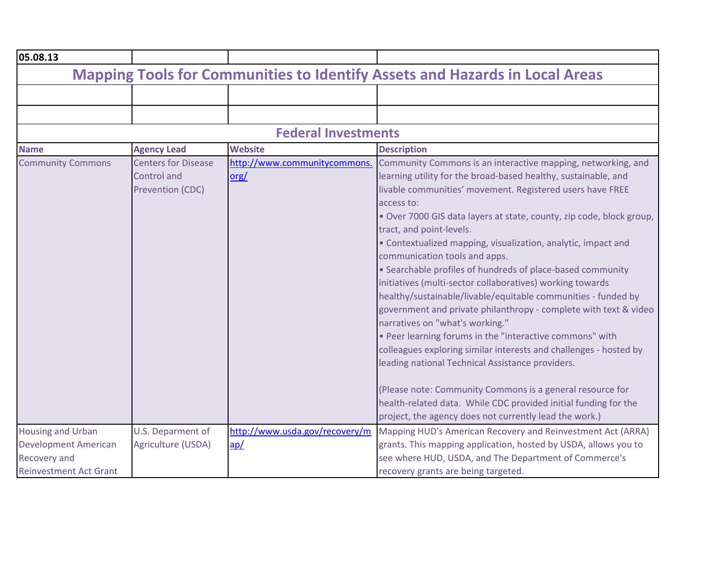| 05.08.13                                                                                                 |                                                                      |                                        |                                                                                                                                                                                                                                                                                                                                                                                                                                                                                                                                                                                                                                                                                                                                                                                                                                                                                                                                                                                                                                                                                                   |
|----------------------------------------------------------------------------------------------------------|----------------------------------------------------------------------|----------------------------------------|---------------------------------------------------------------------------------------------------------------------------------------------------------------------------------------------------------------------------------------------------------------------------------------------------------------------------------------------------------------------------------------------------------------------------------------------------------------------------------------------------------------------------------------------------------------------------------------------------------------------------------------------------------------------------------------------------------------------------------------------------------------------------------------------------------------------------------------------------------------------------------------------------------------------------------------------------------------------------------------------------------------------------------------------------------------------------------------------------|
|                                                                                                          |                                                                      |                                        | <b>Mapping Tools for Communities to Identify Assets and Hazards in Local Areas</b>                                                                                                                                                                                                                                                                                                                                                                                                                                                                                                                                                                                                                                                                                                                                                                                                                                                                                                                                                                                                                |
|                                                                                                          |                                                                      |                                        |                                                                                                                                                                                                                                                                                                                                                                                                                                                                                                                                                                                                                                                                                                                                                                                                                                                                                                                                                                                                                                                                                                   |
|                                                                                                          |                                                                      |                                        |                                                                                                                                                                                                                                                                                                                                                                                                                                                                                                                                                                                                                                                                                                                                                                                                                                                                                                                                                                                                                                                                                                   |
|                                                                                                          |                                                                      | <b>Federal Investments</b>             |                                                                                                                                                                                                                                                                                                                                                                                                                                                                                                                                                                                                                                                                                                                                                                                                                                                                                                                                                                                                                                                                                                   |
| <b>Name</b>                                                                                              | <b>Agency Lead</b>                                                   | <b>Website</b>                         | <b>Description</b>                                                                                                                                                                                                                                                                                                                                                                                                                                                                                                                                                                                                                                                                                                                                                                                                                                                                                                                                                                                                                                                                                |
| <b>Community Commons</b>                                                                                 | <b>Centers for Disease</b><br><b>Control and</b><br>Prevention (CDC) | http://www.communitycommons.<br>$org/$ | Community Commons is an interactive mapping, networking, and<br>learning utility for the broad-based healthy, sustainable, and<br>livable communities' movement. Registered users have FREE<br>access to:<br>. Over 7000 GIS data layers at state, county, zip code, block group,<br>tract, and point-levels.<br>• Contextualized mapping, visualization, analytic, impact and<br>communication tools and apps.<br>• Searchable profiles of hundreds of place-based community<br>initiatives (multi-sector collaboratives) working towards<br>healthy/sustainable/livable/equitable communities - funded by<br>government and private philanthropy - complete with text & video<br>narratives on "what's working."<br>. Peer learning forums in the "interactive commons" with<br>colleagues exploring similar interests and challenges - hosted by<br>leading national Technical Assistance providers.<br>(Please note: Community Commons is a general resource for<br>health-related data. While CDC provided initial funding for the<br>project, the agency does not currently lead the work.) |
| <b>Housing and Urban</b><br><b>Development American</b><br>Recovery and<br><b>Reinvestment Act Grant</b> | U.S. Deparment of<br>Agriculture (USDA)                              | http://www.usda.gov/recovery/m<br>ap/  | Mapping HUD's American Recovery and Reinvestment Act (ARRA)<br>grants. This mapping application, hosted by USDA, allows you to<br>see where HUD, USDA, and The Department of Commerce's<br>recovery grants are being targeted.                                                                                                                                                                                                                                                                                                                                                                                                                                                                                                                                                                                                                                                                                                                                                                                                                                                                    |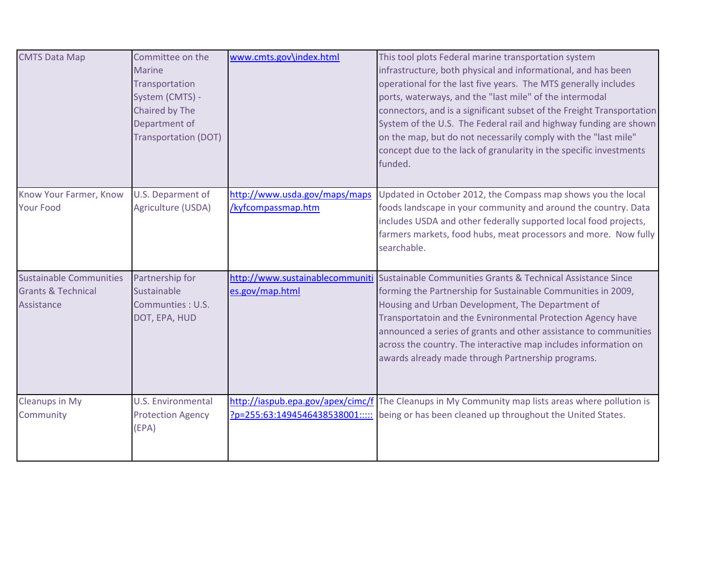| <b>CMTS Data Map</b>                                                          | Committee on the<br><b>Marine</b><br>Transportation<br>System (CMTS) -<br>Chaired by The<br>Department of<br><b>Transportation (DOT)</b> | www.cmts.gov\index.html                             | This tool plots Federal marine transportation system<br>infrastructure, both physical and informational, and has been<br>operational for the last five years. The MTS generally includes<br>ports, waterways, and the "last mile" of the intermodal<br>connectors, and is a significant subset of the Freight Transportation<br>System of the U.S. The Federal rail and highway funding are shown<br>on the map, but do not necessarily comply with the "last mile"<br>concept due to the lack of granularity in the specific investments<br>funded. |
|-------------------------------------------------------------------------------|------------------------------------------------------------------------------------------------------------------------------------------|-----------------------------------------------------|------------------------------------------------------------------------------------------------------------------------------------------------------------------------------------------------------------------------------------------------------------------------------------------------------------------------------------------------------------------------------------------------------------------------------------------------------------------------------------------------------------------------------------------------------|
| Know Your Farmer, Know<br><b>Your Food</b>                                    | U.S. Deparment of<br>Agriculture (USDA)                                                                                                  | http://www.usda.gov/maps/maps<br>/kyfcompassmap.htm | Updated in October 2012, the Compass map shows you the local<br>foods landscape in your community and around the country. Data<br>includes USDA and other federally supported local food projects,<br>farmers markets, food hubs, meat processors and more. Now fully<br>searchable.                                                                                                                                                                                                                                                                 |
| <b>Sustainable Communities</b><br><b>Grants &amp; Technical</b><br>Assistance | Partnership for<br>Sustainable<br>Communties: U.S.<br>DOT, EPA, HUD                                                                      | http://www.sustainablecommuniti<br>es.gov/map.html  | Sustainable Communities Grants & Technical Assistance Since<br>forming the Partnership for Sustainable Communities in 2009,<br>Housing and Urban Development, The Department of<br>Transportatoin and the Evnironmental Protection Agency have<br>announced a series of grants and other assistance to communities<br>across the country. The interactive map includes information on<br>awards already made through Partnership programs.                                                                                                           |
| <b>Cleanups in My</b><br>Community                                            | <b>U.S. Environmental</b><br><b>Protection Agency</b><br>(EPA)                                                                           |                                                     | http://iaspub.epa.gov/apex/cimc/f The Cleanups in My Community map lists areas where pollution is<br>?p=255:63:1494546438538001::::: being or has been cleaned up throughout the United States.                                                                                                                                                                                                                                                                                                                                                      |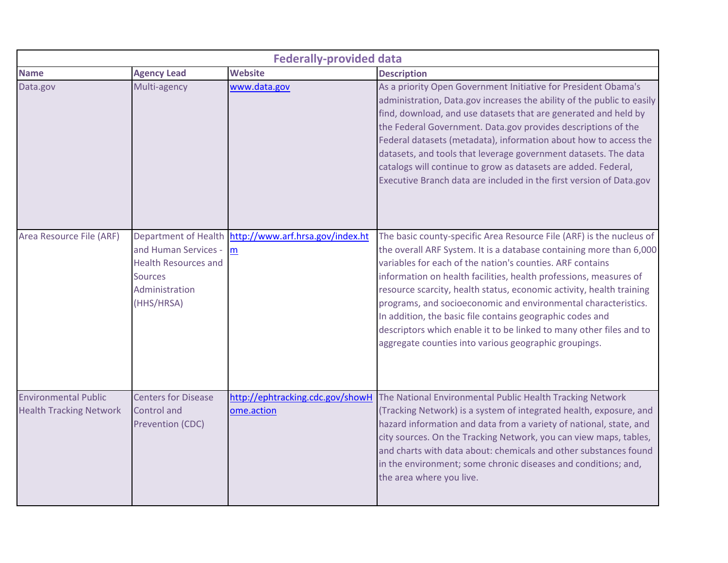|                                                               |                                                                                                                                      | <b>Federally-provided data</b>        |                                                                                                                                                                                                                                                                                                                                                                                                                                                                                                                                                                                                                      |
|---------------------------------------------------------------|--------------------------------------------------------------------------------------------------------------------------------------|---------------------------------------|----------------------------------------------------------------------------------------------------------------------------------------------------------------------------------------------------------------------------------------------------------------------------------------------------------------------------------------------------------------------------------------------------------------------------------------------------------------------------------------------------------------------------------------------------------------------------------------------------------------------|
| <b>Name</b>                                                   | <b>Agency Lead</b>                                                                                                                   | <b>Website</b>                        | <b>Description</b>                                                                                                                                                                                                                                                                                                                                                                                                                                                                                                                                                                                                   |
| Data.gov                                                      | Multi-agency                                                                                                                         | www.data.gov                          | As a priority Open Government Initiative for President Obama's<br>administration, Data.gov increases the ability of the public to easily<br>find, download, and use datasets that are generated and held by<br>the Federal Government. Data.gov provides descriptions of the<br>Federal datasets (metadata), information about how to access the<br>datasets, and tools that leverage government datasets. The data<br>catalogs will continue to grow as datasets are added. Federal,<br>Executive Branch data are included in the first version of Data.gov                                                         |
| Area Resource File (ARF)                                      | <b>Department of Health</b><br>and Human Services -<br><b>Health Resources and</b><br><b>Sources</b><br>Administration<br>(HHS/HRSA) | http://www.arf.hrsa.gov/index.ht<br>m | The basic county-specific Area Resource File (ARF) is the nucleus of<br>the overall ARF System. It is a database containing more than 6,000<br>variables for each of the nation's counties. ARF contains<br>information on health facilities, health professions, measures of<br>resource scarcity, health status, economic activity, health training<br>programs, and socioeconomic and environmental characteristics.<br>In addition, the basic file contains geographic codes and<br>descriptors which enable it to be linked to many other files and to<br>aggregate counties into various geographic groupings. |
| <b>Environmental Public</b><br><b>Health Tracking Network</b> | <b>Centers for Disease</b><br><b>Control</b> and<br>Prevention (CDC)                                                                 | ome.action                            | http://ephtracking.cdc.gov/showH The National Environmental Public Health Tracking Network<br>(Tracking Network) is a system of integrated health, exposure, and<br>hazard information and data from a variety of national, state, and<br>city sources. On the Tracking Network, you can view maps, tables,<br>and charts with data about: chemicals and other substances found<br>in the environment; some chronic diseases and conditions; and,<br>the area where you live.                                                                                                                                        |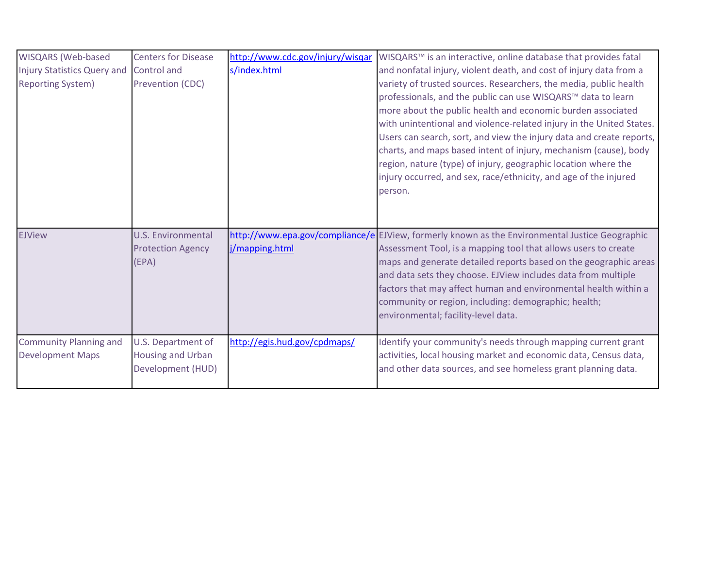| WISQARS (Web-based                 | <b>Centers for Disease</b> | http://www.cdc.gov/injury/wisqar | WISQARS™ is an interactive, online database that provides fatal                                                         |
|------------------------------------|----------------------------|----------------------------------|-------------------------------------------------------------------------------------------------------------------------|
| <b>Injury Statistics Query and</b> | Control and                | s/index.html                     | and nonfatal injury, violent death, and cost of injury data from a                                                      |
| <b>Reporting System)</b>           | Prevention (CDC)           |                                  | variety of trusted sources. Researchers, the media, public health                                                       |
|                                    |                            |                                  | professionals, and the public can use WISQARS™ data to learn                                                            |
|                                    |                            |                                  | more about the public health and economic burden associated                                                             |
|                                    |                            |                                  | with unintentional and violence-related injury in the United States.                                                    |
|                                    |                            |                                  | Users can search, sort, and view the injury data and create reports,                                                    |
|                                    |                            |                                  | charts, and maps based intent of injury, mechanism (cause), body                                                        |
|                                    |                            |                                  | region, nature (type) of injury, geographic location where the                                                          |
|                                    |                            |                                  | injury occurred, and sex, race/ethnicity, and age of the injured                                                        |
|                                    |                            |                                  | person.                                                                                                                 |
|                                    |                            |                                  |                                                                                                                         |
|                                    |                            |                                  |                                                                                                                         |
| <b>EJView</b>                      | <b>U.S. Environmental</b>  |                                  | http://www.epa.gov/compliance/e EJView, formerly known as the Environmental Justice Geographic                          |
|                                    | <b>Protection Agency</b>   | j/mapping.html                   | Assessment Tool, is a mapping tool that allows users to create                                                          |
|                                    | (EPA)                      |                                  | maps and generate detailed reports based on the geographic areas                                                        |
|                                    |                            |                                  | and data sets they choose. EJView includes data from multiple                                                           |
|                                    |                            |                                  | factors that may affect human and environmental health within a<br>community or region, including: demographic; health; |
|                                    |                            |                                  | environmental; facility-level data.                                                                                     |
|                                    |                            |                                  |                                                                                                                         |
| <b>Community Planning and</b>      | U.S. Department of         | http://egis.hud.gov/cpdmaps/     | Identify your community's needs through mapping current grant                                                           |
| <b>Development Maps</b>            | Housing and Urban          |                                  | activities, local housing market and economic data, Census data,                                                        |
|                                    | Development (HUD)          |                                  | and other data sources, and see homeless grant planning data.                                                           |
|                                    |                            |                                  |                                                                                                                         |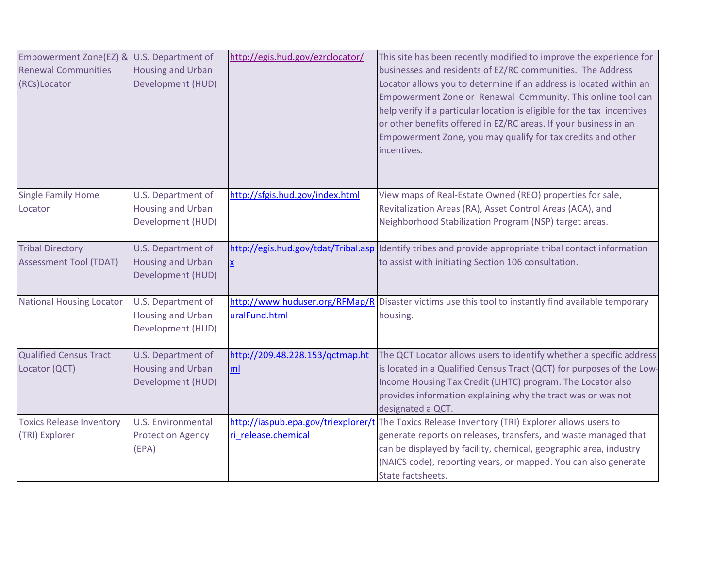| Empowerment Zone(EZ) &<br><b>Renewal Communities</b><br>(RCs)Locator | U.S. Department of<br><b>Housing and Urban</b><br>Development (HUD) | http://egis.hud.gov/ezrclocator/      | This site has been recently modified to improve the experience for<br>businesses and residents of EZ/RC communities. The Address<br>Locator allows you to determine if an address is located within an<br>Empowerment Zone or Renewal Community. This online tool can<br>help verify if a particular location is eligible for the tax incentives<br>or other benefits offered in EZ/RC areas. If your business in an<br>Empowerment Zone, you may qualify for tax credits and other<br>incentives. |
|----------------------------------------------------------------------|---------------------------------------------------------------------|---------------------------------------|----------------------------------------------------------------------------------------------------------------------------------------------------------------------------------------------------------------------------------------------------------------------------------------------------------------------------------------------------------------------------------------------------------------------------------------------------------------------------------------------------|
| <b>Single Family Home</b><br>Locator                                 | U.S. Department of<br><b>Housing and Urban</b><br>Development (HUD) | http://sfgis.hud.gov/index.html       | View maps of Real-Estate Owned (REO) properties for sale,<br>Revitalization Areas (RA), Asset Control Areas (ACA), and<br>Neighborhood Stabilization Program (NSP) target areas.                                                                                                                                                                                                                                                                                                                   |
| <b>Tribal Directory</b><br><b>Assessment Tool (TDAT)</b>             | U.S. Department of<br><b>Housing and Urban</b><br>Development (HUD) | X                                     | http://egis.hud.gov/tdat/Tribal.asp Identify tribes and provide appropriate tribal contact information<br>to assist with initiating Section 106 consultation.                                                                                                                                                                                                                                                                                                                                      |
| <b>National Housing Locator</b>                                      | U.S. Department of<br><b>Housing and Urban</b><br>Development (HUD) | uralFund.html                         | http://www.huduser.org/RFMap/R Disaster victims use this tool to instantly find available temporary<br>housing.                                                                                                                                                                                                                                                                                                                                                                                    |
| <b>Qualified Census Tract</b><br>Locator (QCT)                       | U.S. Department of<br><b>Housing and Urban</b><br>Development (HUD) | http://209.48.228.153/qctmap.ht<br>ml | The QCT Locator allows users to identify whether a specific address<br>is located in a Qualified Census Tract (QCT) for purposes of the Low-<br>Income Housing Tax Credit (LIHTC) program. The Locator also<br>provides information explaining why the tract was or was not<br>designated a QCT.                                                                                                                                                                                                   |
| <b>Toxics Release Inventory</b><br>(TRI) Explorer                    | <b>U.S. Environmental</b><br><b>Protection Agency</b><br>(EPA)      | ri release.chemical                   | http://iaspub.epa.gov/triexplorer/t The Toxics Release Inventory (TRI) Explorer allows users to<br>generate reports on releases, transfers, and waste managed that<br>can be displayed by facility, chemical, geographic area, industry<br>(NAICS code), reporting years, or mapped. You can also generate<br>State factsheets.                                                                                                                                                                    |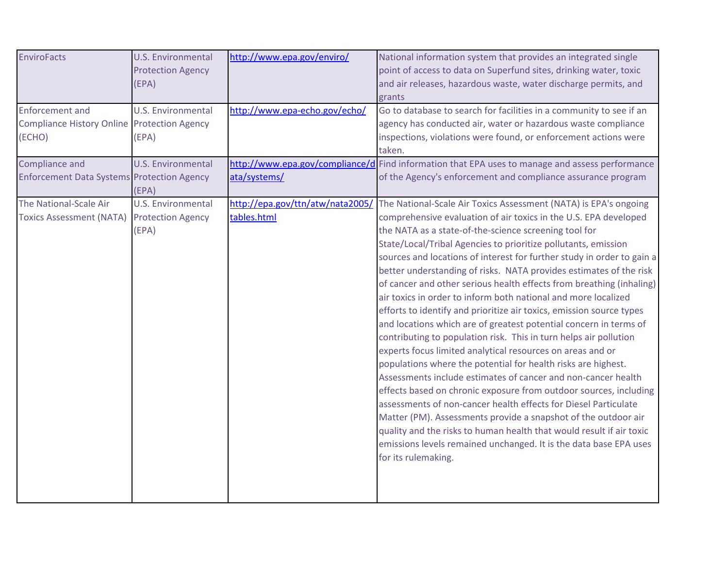| <b>EnviroFacts</b><br><b>Enforcement and</b><br><b>Compliance History Online Protection Agency</b><br>(ECHO) | <b>U.S. Environmental</b><br><b>Protection Agency</b><br>(EPA)<br><b>U.S. Environmental</b><br>(EPA) | http://www.epa.gov/enviro/<br>http://www.epa-echo.gov/echo/ | National information system that provides an integrated single<br>point of access to data on Superfund sites, drinking water, toxic<br>and air releases, hazardous waste, water discharge permits, and<br>grants<br>Go to database to search for facilities in a community to see if an<br>agency has conducted air, water or hazardous waste compliance<br>inspections, violations were found, or enforcement actions were                                                                                                                                                                                                                                                                                                                                                                                                                                                                                                                                                                                                                                                                                                                                                                                                                                                                                                                               |
|--------------------------------------------------------------------------------------------------------------|------------------------------------------------------------------------------------------------------|-------------------------------------------------------------|-----------------------------------------------------------------------------------------------------------------------------------------------------------------------------------------------------------------------------------------------------------------------------------------------------------------------------------------------------------------------------------------------------------------------------------------------------------------------------------------------------------------------------------------------------------------------------------------------------------------------------------------------------------------------------------------------------------------------------------------------------------------------------------------------------------------------------------------------------------------------------------------------------------------------------------------------------------------------------------------------------------------------------------------------------------------------------------------------------------------------------------------------------------------------------------------------------------------------------------------------------------------------------------------------------------------------------------------------------------|
|                                                                                                              |                                                                                                      |                                                             | taken.                                                                                                                                                                                                                                                                                                                                                                                                                                                                                                                                                                                                                                                                                                                                                                                                                                                                                                                                                                                                                                                                                                                                                                                                                                                                                                                                                    |
| Compliance and<br><b>Enforcement Data Systems Protection Agency</b>                                          | <b>U.S. Environmental</b><br>(EPA)                                                                   | ata/systems/                                                | http://www.epa.gov/compliance/d Find information that EPA uses to manage and assess performance<br>of the Agency's enforcement and compliance assurance program                                                                                                                                                                                                                                                                                                                                                                                                                                                                                                                                                                                                                                                                                                                                                                                                                                                                                                                                                                                                                                                                                                                                                                                           |
| The National-Scale Air<br>Toxics Assessment (NATA) Protection Agency                                         | <b>U.S. Environmental</b><br>(EPA)                                                                   | http://epa.gov/ttn/atw/nata2005/<br>tables.html             | The National-Scale Air Toxics Assessment (NATA) is EPA's ongoing<br>comprehensive evaluation of air toxics in the U.S. EPA developed<br>the NATA as a state-of-the-science screening tool for<br>State/Local/Tribal Agencies to prioritize pollutants, emission<br>sources and locations of interest for further study in order to gain a<br>better understanding of risks. NATA provides estimates of the risk<br>of cancer and other serious health effects from breathing (inhaling)<br>air toxics in order to inform both national and more localized<br>efforts to identify and prioritize air toxics, emission source types<br>and locations which are of greatest potential concern in terms of<br>contributing to population risk. This in turn helps air pollution<br>experts focus limited analytical resources on areas and or<br>populations where the potential for health risks are highest.<br>Assessments include estimates of cancer and non-cancer health<br>effects based on chronic exposure from outdoor sources, including<br>assessments of non-cancer health effects for Diesel Particulate<br>Matter (PM). Assessments provide a snapshot of the outdoor air<br>quality and the risks to human health that would result if air toxic<br>emissions levels remained unchanged. It is the data base EPA uses<br>for its rulemaking. |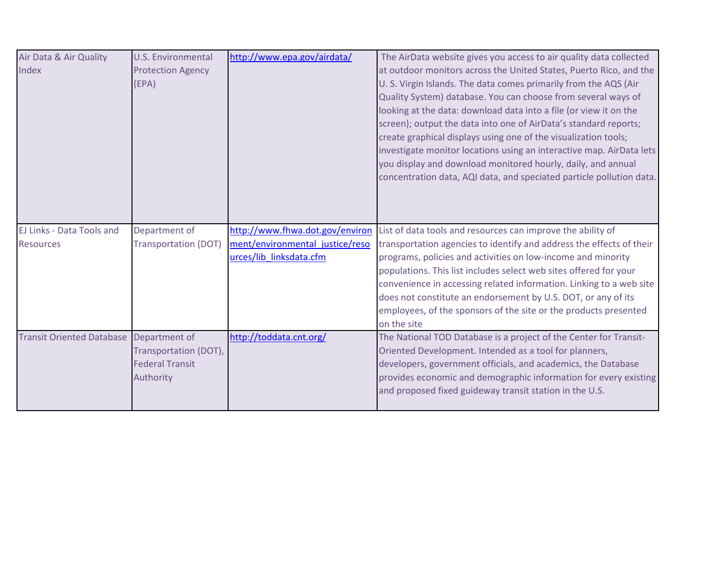| Air Data & Air Quality<br>Index               | U.S. Environmental<br><b>Protection Agency</b><br>(EPA)                       | http://www.epa.gov/airdata/                                                                   | The AirData website gives you access to air quality data collected<br>at outdoor monitors across the United States, Puerto Rico, and the<br>U. S. Virgin Islands. The data comes primarily from the AQS (Air<br>Quality System) database. You can choose from several ways of<br>looking at the data: download data into a file (or view it on the<br>screen); output the data into one of AirData's standard reports;<br>create graphical displays using one of the visualization tools;<br>investigate monitor locations using an interactive map. AirData lets<br>you display and download monitored hourly, daily, and annual<br>concentration data, AQI data, and speciated particle pollution data. |
|-----------------------------------------------|-------------------------------------------------------------------------------|-----------------------------------------------------------------------------------------------|-----------------------------------------------------------------------------------------------------------------------------------------------------------------------------------------------------------------------------------------------------------------------------------------------------------------------------------------------------------------------------------------------------------------------------------------------------------------------------------------------------------------------------------------------------------------------------------------------------------------------------------------------------------------------------------------------------------|
| EJ Links - Data Tools and<br><b>Resources</b> | Department of<br><b>Transportation (DOT)</b>                                  | http://www.fhwa.dot.gov/environ<br>ment/environmental justice/reso<br>urces/lib linksdata.cfm | List of data tools and resources can improve the ability of<br>transportation agencies to identify and address the effects of their<br>programs, policies and activities on low-income and minority<br>populations. This list includes select web sites offered for your<br>convenience in accessing related information. Linking to a web site<br>does not constitute an endorsement by U.S. DOT, or any of its<br>employees, of the sponsors of the site or the products presented<br>on the site                                                                                                                                                                                                       |
| <b>Transit Oriented Database</b>              | Department of<br>Transportation (DOT),<br><b>Federal Transit</b><br>Authority | http://toddata.cnt.org/                                                                       | The National TOD Database is a project of the Center for Transit-<br>Oriented Development. Intended as a tool for planners,<br>developers, government officials, and academics, the Database<br>provides economic and demographic information for every existing<br>and proposed fixed guideway transit station in the U.S.                                                                                                                                                                                                                                                                                                                                                                               |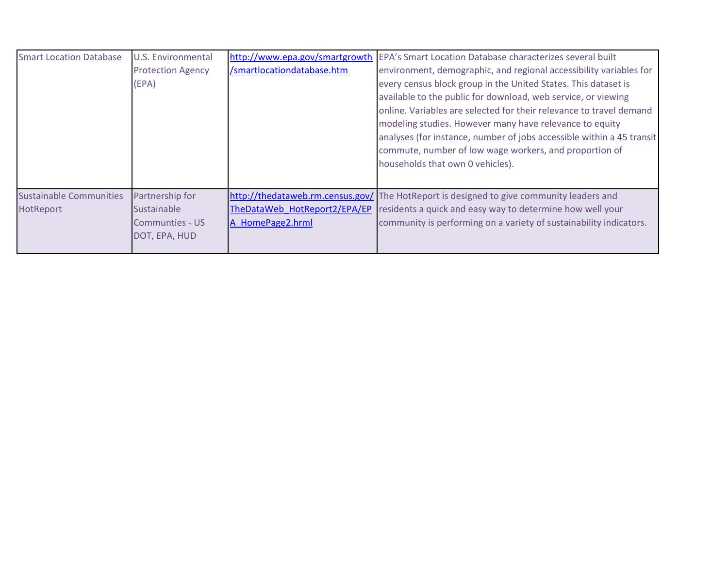| <b>Smart Location Database</b> | <b>U.S. Environmental</b> | http://www.epa.gov/smartgrowth   | EPA's Smart Location Database characterizes several built             |
|--------------------------------|---------------------------|----------------------------------|-----------------------------------------------------------------------|
|                                | <b>Protection Agency</b>  | /smartlocationdatabase.htm       | environment, demographic, and regional accessibility variables for    |
|                                | (EPA)                     |                                  | every census block group in the United States. This dataset is        |
|                                |                           |                                  | available to the public for download, web service, or viewing         |
|                                |                           |                                  | online. Variables are selected for their relevance to travel demand   |
|                                |                           |                                  | modeling studies. However many have relevance to equity               |
|                                |                           |                                  | analyses (for instance, number of jobs accessible within a 45 transit |
|                                |                           |                                  | commute, number of low wage workers, and proportion of                |
|                                |                           |                                  | households that own 0 vehicles).                                      |
|                                |                           |                                  |                                                                       |
| <b>Sustainable Communities</b> | Partnership for           | http://thedataweb.rm.census.gov/ | The HotReport is designed to give community leaders and               |
| <b>HotReport</b>               | <b>Sustainable</b>        | TheDataWeb HotReport2/EPA/EP     | residents a quick and easy way to determine how well your             |
|                                | <b>Communties - US</b>    | A HomePage2.hrml                 | community is performing on a variety of sustainability indicators.    |
|                                | DOT, EPA, HUD             |                                  |                                                                       |
|                                |                           |                                  |                                                                       |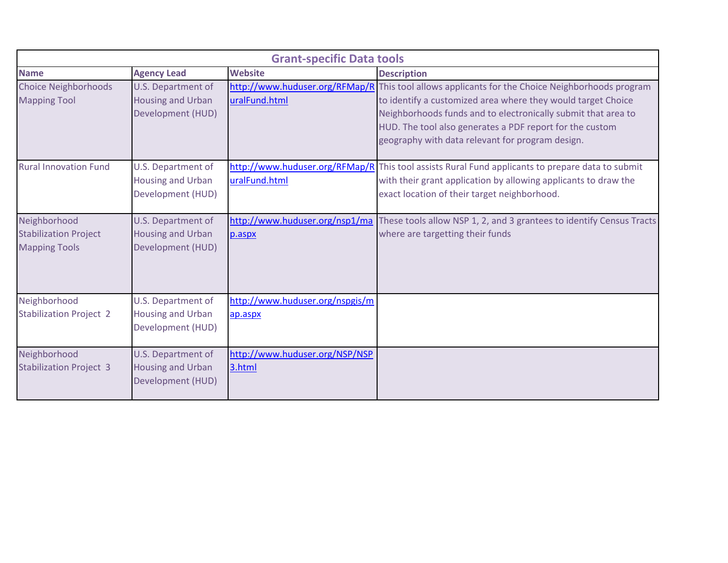| <b>Grant-specific Data tools</b>                                     |                                                                     |                                            |                                                                                                                                                                                                                                                                                                                                                  |
|----------------------------------------------------------------------|---------------------------------------------------------------------|--------------------------------------------|--------------------------------------------------------------------------------------------------------------------------------------------------------------------------------------------------------------------------------------------------------------------------------------------------------------------------------------------------|
| <b>Name</b>                                                          | <b>Agency Lead</b>                                                  | <b>Website</b>                             | <b>Description</b>                                                                                                                                                                                                                                                                                                                               |
| <b>Choice Neighborhoods</b><br><b>Mapping Tool</b>                   | U.S. Department of<br><b>Housing and Urban</b><br>Development (HUD) | uralFund.html                              | http://www.huduser.org/RFMap/R This tool allows applicants for the Choice Neighborhoods program<br>to identify a customized area where they would target Choice<br>Neighborhoods funds and to electronically submit that area to<br>HUD. The tool also generates a PDF report for the custom<br>geography with data relevant for program design. |
| <b>Rural Innovation Fund</b>                                         | U.S. Department of<br><b>Housing and Urban</b><br>Development (HUD) | uralFund.html                              | http://www.huduser.org/RFMap/R This tool assists Rural Fund applicants to prepare data to submit<br>with their grant application by allowing applicants to draw the<br>exact location of their target neighborhood.                                                                                                                              |
| Neighborhood<br><b>Stabilization Project</b><br><b>Mapping Tools</b> | U.S. Department of<br><b>Housing and Urban</b><br>Development (HUD) | p.aspx                                     | http://www.huduser.org/nsp1/ma These tools allow NSP 1, 2, and 3 grantees to identify Census Tracts<br>where are targetting their funds                                                                                                                                                                                                          |
| Neighborhood<br><b>Stabilization Project 2</b>                       | U.S. Department of<br><b>Housing and Urban</b><br>Development (HUD) | http://www.huduser.org/nspgis/m<br>ap.aspx |                                                                                                                                                                                                                                                                                                                                                  |
| Neighborhood<br><b>Stabilization Project 3</b>                       | U.S. Department of<br><b>Housing and Urban</b><br>Development (HUD) | http://www.huduser.org/NSP/NSP<br>3.html   |                                                                                                                                                                                                                                                                                                                                                  |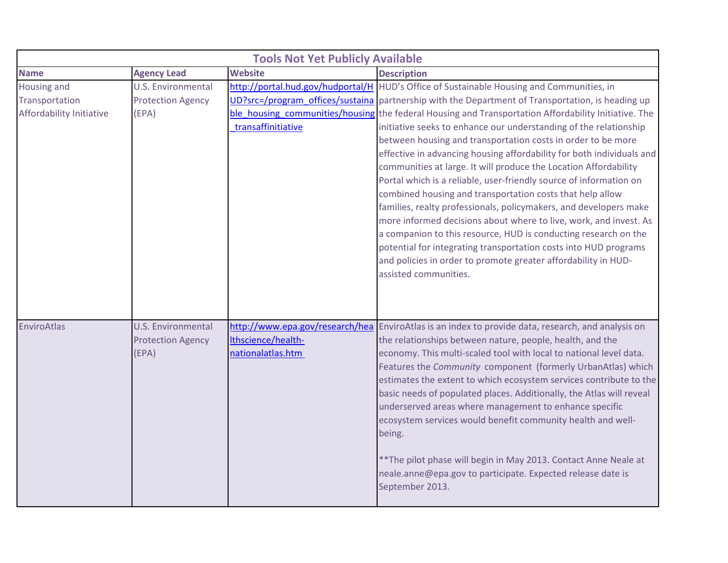|                                                           |                                                                | <b>Tools Not Yet Publicly Available</b> |                                                                                                                                                                                                                                                                                                                                                                                                                                                                                                                                                                                                                                                                                                                                                                                                                                                                                                                                                                                                                                                                                                         |
|-----------------------------------------------------------|----------------------------------------------------------------|-----------------------------------------|---------------------------------------------------------------------------------------------------------------------------------------------------------------------------------------------------------------------------------------------------------------------------------------------------------------------------------------------------------------------------------------------------------------------------------------------------------------------------------------------------------------------------------------------------------------------------------------------------------------------------------------------------------------------------------------------------------------------------------------------------------------------------------------------------------------------------------------------------------------------------------------------------------------------------------------------------------------------------------------------------------------------------------------------------------------------------------------------------------|
| <b>Name</b>                                               | <b>Agency Lead</b>                                             | <b>Website</b>                          | <b>Description</b>                                                                                                                                                                                                                                                                                                                                                                                                                                                                                                                                                                                                                                                                                                                                                                                                                                                                                                                                                                                                                                                                                      |
| Housing and<br>Transportation<br>Affordability Initiative | <b>U.S. Environmental</b><br><b>Protection Agency</b><br>(EPA) | transaffinitiative                      | http://portal.hud.gov/hudportal/H HUD's Office of Sustainable Housing and Communities, in<br>UD?src=/program offices/sustaina partnership with the Department of Transportation, is heading up<br>ble housing communities/housing the federal Housing and Transportation Affordability Initiative. The<br>initiative seeks to enhance our understanding of the relationship<br>between housing and transportation costs in order to be more<br>effective in advancing housing affordability for both individuals and<br>communities at large. It will produce the Location Affordability<br>Portal which is a reliable, user-friendly source of information on<br>combined housing and transportation costs that help allow<br>families, realty professionals, policymakers, and developers make<br>more informed decisions about where to live, work, and invest. As<br>a companion to this resource, HUD is conducting research on the<br>potential for integrating transportation costs into HUD programs<br>and policies in order to promote greater affordability in HUD-<br>assisted communities. |
| EnviroAtlas                                               | U.S. Environmental<br><b>Protection Agency</b><br>(EPA)        | Ithscience/health-<br>nationalatlas.htm | http://www.epa.gov/research/hea EnviroAtlas is an index to provide data, research, and analysis on<br>the relationships between nature, people, health, and the<br>economy. This multi-scaled tool with local to national level data.<br>Features the Community component (formerly UrbanAtlas) which<br>estimates the extent to which ecosystem services contribute to the<br>basic needs of populated places. Additionally, the Atlas will reveal<br>underserved areas where management to enhance specific<br>ecosystem services would benefit community health and well-<br>being.<br>** The pilot phase will begin in May 2013. Contact Anne Neale at<br>neale.anne@epa.gov to participate. Expected release date is<br>September 2013.                                                                                                                                                                                                                                                                                                                                                            |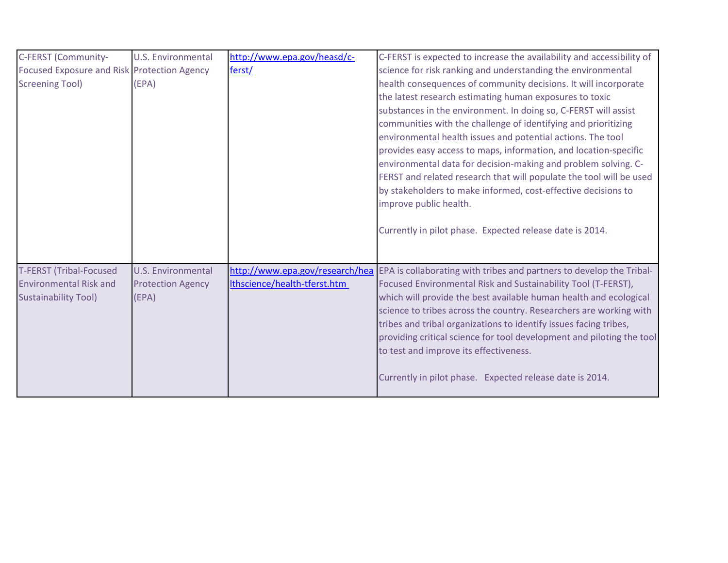| C-FERST (Community-                                                                            | <b>U.S. Environmental</b>                                      | http://www.epa.gov/heasd/c-  | C-FERST is expected to increase the availability and accessibility of                                                                                                                                                                                                                                                                                                                                                                                                                                                                                                                                                                                                                              |
|------------------------------------------------------------------------------------------------|----------------------------------------------------------------|------------------------------|----------------------------------------------------------------------------------------------------------------------------------------------------------------------------------------------------------------------------------------------------------------------------------------------------------------------------------------------------------------------------------------------------------------------------------------------------------------------------------------------------------------------------------------------------------------------------------------------------------------------------------------------------------------------------------------------------|
| Focused Exposure and Risk Protection Agency                                                    |                                                                | ferst/                       | science for risk ranking and understanding the environmental                                                                                                                                                                                                                                                                                                                                                                                                                                                                                                                                                                                                                                       |
| <b>Screening Tool)</b>                                                                         | (EPA)                                                          |                              | health consequences of community decisions. It will incorporate<br>the latest research estimating human exposures to toxic<br>substances in the environment. In doing so, C-FERST will assist<br>communities with the challenge of identifying and prioritizing<br>environmental health issues and potential actions. The tool<br>provides easy access to maps, information, and location-specific<br>environmental data for decision-making and problem solving. C-<br>FERST and related research that will populate the tool will be used<br>by stakeholders to make informed, cost-effective decisions to<br>improve public health.<br>Currently in pilot phase. Expected release date is 2014. |
| <b>T-FERST (Tribal-Focused</b><br><b>Environmental Risk and</b><br><b>Sustainability Tool)</b> | <b>U.S. Environmental</b><br><b>Protection Agency</b><br>(EPA) | Ithscience/health-tferst.htm | http://www.epa.gov/research/hea EPA is collaborating with tribes and partners to develop the Tribal-<br>Focused Environmental Risk and Sustainability Tool (T-FERST),<br>which will provide the best available human health and ecological<br>science to tribes across the country. Researchers are working with<br>tribes and tribal organizations to identify issues facing tribes,<br>providing critical science for tool development and piloting the tool<br>to test and improve its effectiveness.<br>Currently in pilot phase. Expected release date is 2014.                                                                                                                               |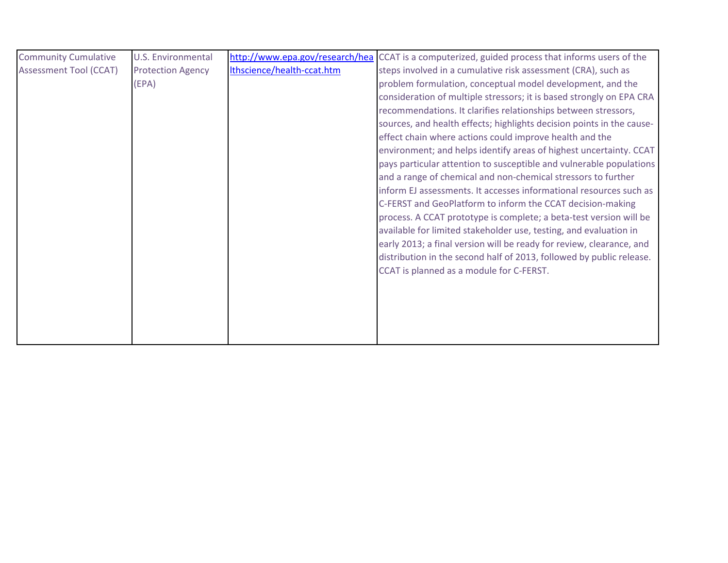| <b>Community Cumulative</b>   | <b>U.S. Environmental</b> |                            | http://www.epa.gov/research/hea CCAT is a computerized, guided process that informs users of the |
|-------------------------------|---------------------------|----------------------------|--------------------------------------------------------------------------------------------------|
| <b>Assessment Tool (CCAT)</b> | <b>Protection Agency</b>  | Ithscience/health-ccat.htm | steps involved in a cumulative risk assessment (CRA), such as                                    |
|                               | (EPA)                     |                            | problem formulation, conceptual model development, and the                                       |
|                               |                           |                            | consideration of multiple stressors; it is based strongly on EPA CRA                             |
|                               |                           |                            | recommendations. It clarifies relationships between stressors,                                   |
|                               |                           |                            | sources, and health effects; highlights decision points in the cause-                            |
|                               |                           |                            | effect chain where actions could improve health and the                                          |
|                               |                           |                            | environment; and helps identify areas of highest uncertainty. CCAT                               |
|                               |                           |                            | pays particular attention to susceptible and vulnerable populations                              |
|                               |                           |                            | and a range of chemical and non-chemical stressors to further                                    |
|                               |                           |                            | inform EJ assessments. It accesses informational resources such as                               |
|                               |                           |                            | C-FERST and GeoPlatform to inform the CCAT decision-making                                       |
|                               |                           |                            | process. A CCAT prototype is complete; a beta-test version will be                               |
|                               |                           |                            | available for limited stakeholder use, testing, and evaluation in                                |
|                               |                           |                            | early 2013; a final version will be ready for review, clearance, and                             |
|                               |                           |                            | distribution in the second half of 2013, followed by public release.                             |
|                               |                           |                            | CCAT is planned as a module for C-FERST.                                                         |
|                               |                           |                            |                                                                                                  |
|                               |                           |                            |                                                                                                  |
|                               |                           |                            |                                                                                                  |
|                               |                           |                            |                                                                                                  |
|                               |                           |                            |                                                                                                  |